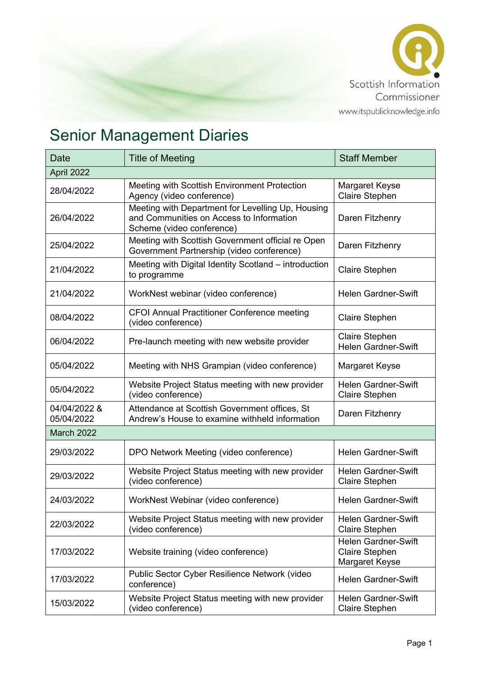

## Senior Management Diaries

| Date                       | <b>Title of Meeting</b>                                                                                                    | <b>Staff Member</b>                                                   |  |  |
|----------------------------|----------------------------------------------------------------------------------------------------------------------------|-----------------------------------------------------------------------|--|--|
| April 2022                 |                                                                                                                            |                                                                       |  |  |
| 28/04/2022                 | Meeting with Scottish Environment Protection<br>Agency (video conference)                                                  | Margaret Keyse<br><b>Claire Stephen</b>                               |  |  |
| 26/04/2022                 | Meeting with Department for Levelling Up, Housing<br>and Communities on Access to Information<br>Scheme (video conference) | Daren Fitzhenry                                                       |  |  |
| 25/04/2022                 | Meeting with Scottish Government official re Open<br>Government Partnership (video conference)                             | Daren Fitzhenry                                                       |  |  |
| 21/04/2022                 | Meeting with Digital Identity Scotland – introduction<br>to programme                                                      | Claire Stephen                                                        |  |  |
| 21/04/2022                 | WorkNest webinar (video conference)                                                                                        | <b>Helen Gardner-Swift</b>                                            |  |  |
| 08/04/2022                 | <b>CFOI Annual Practitioner Conference meeting</b><br>(video conference)                                                   | <b>Claire Stephen</b>                                                 |  |  |
| 06/04/2022                 | Pre-launch meeting with new website provider                                                                               | Claire Stephen<br><b>Helen Gardner-Swift</b>                          |  |  |
| 05/04/2022                 | Meeting with NHS Grampian (video conference)                                                                               | Margaret Keyse                                                        |  |  |
| 05/04/2022                 | Website Project Status meeting with new provider<br>(video conference)                                                     | <b>Helen Gardner-Swift</b><br>Claire Stephen                          |  |  |
| 04/04/2022 &<br>05/04/2022 | Attendance at Scottish Government offices, St<br>Andrew's House to examine withheld information                            | Daren Fitzhenry                                                       |  |  |
| March 2022                 |                                                                                                                            |                                                                       |  |  |
| 29/03/2022                 | DPO Network Meeting (video conference)                                                                                     | <b>Helen Gardner-Swift</b>                                            |  |  |
| 29/03/2022                 | Website Project Status meeting with new provider<br>(video conference)                                                     | <b>Helen Gardner-Swift</b><br><b>Claire Stephen</b>                   |  |  |
| 24/03/2022                 | WorkNest Webinar (video conference)                                                                                        | <b>Helen Gardner-Swift</b>                                            |  |  |
| 22/03/2022                 | Website Project Status meeting with new provider<br>(video conference)                                                     | <b>Helen Gardner-Swift</b><br>Claire Stephen                          |  |  |
| 17/03/2022                 | Website training (video conference)                                                                                        | <b>Helen Gardner-Swift</b><br><b>Claire Stephen</b><br>Margaret Keyse |  |  |
| 17/03/2022                 | Public Sector Cyber Resilience Network (video<br>conference)                                                               | <b>Helen Gardner-Swift</b>                                            |  |  |
| 15/03/2022                 | Website Project Status meeting with new provider<br>(video conference)                                                     | <b>Helen Gardner-Swift</b><br><b>Claire Stephen</b>                   |  |  |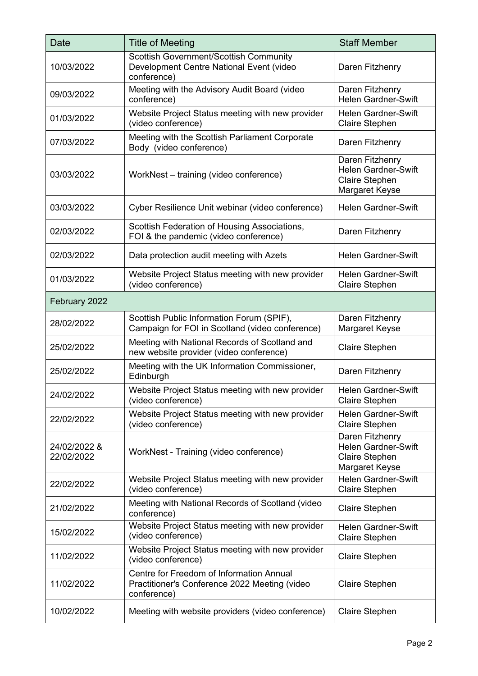| Date                       | <b>Title of Meeting</b>                                                                                  | <b>Staff Member</b>                                                                      |  |  |
|----------------------------|----------------------------------------------------------------------------------------------------------|------------------------------------------------------------------------------------------|--|--|
| 10/03/2022                 | Scottish Government/Scottish Community<br>Development Centre National Event (video<br>conference)        | Daren Fitzhenry                                                                          |  |  |
| 09/03/2022                 | Meeting with the Advisory Audit Board (video<br>conference)                                              | Daren Fitzhenry<br><b>Helen Gardner-Swift</b>                                            |  |  |
| 01/03/2022                 | Website Project Status meeting with new provider<br>(video conference)                                   | <b>Helen Gardner-Swift</b><br>Claire Stephen                                             |  |  |
| 07/03/2022                 | Meeting with the Scottish Parliament Corporate<br>Body (video conference)                                | Daren Fitzhenry                                                                          |  |  |
| 03/03/2022                 | WorkNest - training (video conference)                                                                   | Daren Fitzhenry<br><b>Helen Gardner-Swift</b><br><b>Claire Stephen</b><br>Margaret Keyse |  |  |
| 03/03/2022                 | Cyber Resilience Unit webinar (video conference)                                                         | <b>Helen Gardner-Swift</b>                                                               |  |  |
| 02/03/2022                 | Scottish Federation of Housing Associations,<br>FOI & the pandemic (video conference)                    | Daren Fitzhenry                                                                          |  |  |
| 02/03/2022                 | Data protection audit meeting with Azets                                                                 | <b>Helen Gardner-Swift</b>                                                               |  |  |
| 01/03/2022                 | Website Project Status meeting with new provider<br>(video conference)                                   | <b>Helen Gardner-Swift</b><br><b>Claire Stephen</b>                                      |  |  |
| February 2022              |                                                                                                          |                                                                                          |  |  |
| 28/02/2022                 | Scottish Public Information Forum (SPIF),<br>Campaign for FOI in Scotland (video conference)             | Daren Fitzhenry<br>Margaret Keyse                                                        |  |  |
| 25/02/2022                 | Meeting with National Records of Scotland and<br>new website provider (video conference)                 | Claire Stephen                                                                           |  |  |
| 25/02/2022                 | Meeting with the UK Information Commissioner,<br>Edinburgh                                               | Daren Fitzhenry                                                                          |  |  |
| 24/02/2022                 | Website Project Status meeting with new provider<br>(video conference)                                   | <b>Helen Gardner-Swift</b><br>Claire Stephen                                             |  |  |
| 22/02/2022                 | Website Project Status meeting with new provider<br>(video conference)                                   | <b>Helen Gardner-Swift</b><br><b>Claire Stephen</b>                                      |  |  |
| 24/02/2022 &<br>22/02/2022 | WorkNest - Training (video conference)                                                                   | Daren Fitzhenry<br><b>Helen Gardner-Swift</b><br>Claire Stephen<br>Margaret Keyse        |  |  |
| 22/02/2022                 | Website Project Status meeting with new provider<br>(video conference)                                   | <b>Helen Gardner-Swift</b><br><b>Claire Stephen</b>                                      |  |  |
| 21/02/2022                 | Meeting with National Records of Scotland (video<br>conference)                                          | Claire Stephen                                                                           |  |  |
| 15/02/2022                 | Website Project Status meeting with new provider<br>(video conference)                                   | <b>Helen Gardner-Swift</b><br><b>Claire Stephen</b>                                      |  |  |
| 11/02/2022                 | Website Project Status meeting with new provider<br>(video conference)                                   | Claire Stephen                                                                           |  |  |
| 11/02/2022                 | Centre for Freedom of Information Annual<br>Practitioner's Conference 2022 Meeting (video<br>conference) | <b>Claire Stephen</b>                                                                    |  |  |
| 10/02/2022                 | Meeting with website providers (video conference)                                                        | <b>Claire Stephen</b>                                                                    |  |  |